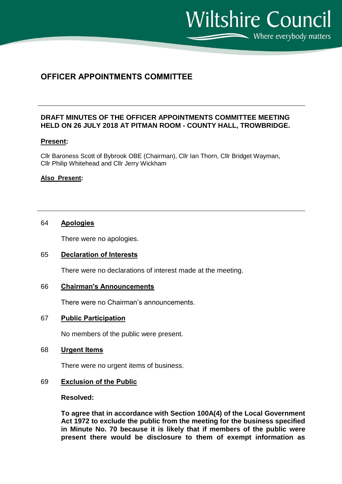**Wiltshire Council**  $\sum$  Where everybody matters

# **OFFICER APPOINTMENTS COMMITTEE**

# **DRAFT MINUTES OF THE OFFICER APPOINTMENTS COMMITTEE MEETING HELD ON 26 JULY 2018 AT PITMAN ROOM - COUNTY HALL, TROWBRIDGE.**

# **Present:**

Cllr Baroness Scott of Bybrook OBE (Chairman), Cllr Ian Thorn, Cllr Bridget Wayman, Cllr Philip Whitehead and Cllr Jerry Wickham

#### **Also Present:**

# 64 **Apologies**

There were no apologies.

#### 65 **Declaration of Interests**

There were no declarations of interest made at the meeting.

## 66 **Chairman's Announcements**

There were no Chairman's announcements.

#### 67 **Public Participation**

No members of the public were present.

#### 68 **Urgent Items**

There were no urgent items of business.

#### 69 **Exclusion of the Public**

#### **Resolved:**

**To agree that in accordance with Section 100A(4) of the Local Government Act 1972 to exclude the public from the meeting for the business specified in Minute No. 70 because it is likely that if members of the public were present there would be disclosure to them of exempt information as**